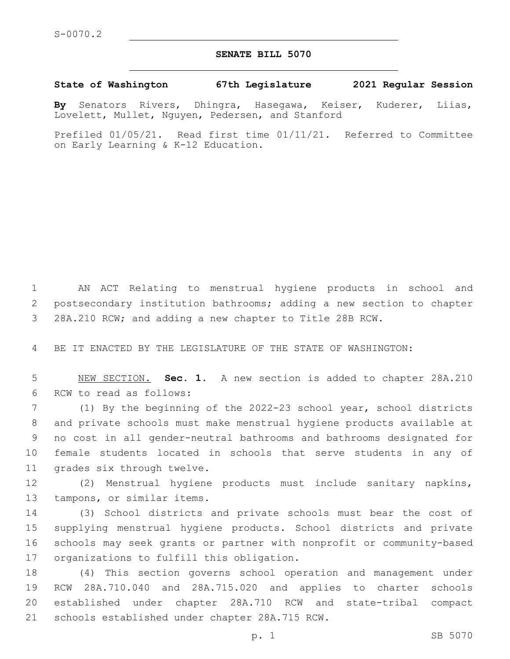## **SENATE BILL 5070**

## **State of Washington 67th Legislature 2021 Regular Session**

**By** Senators Rivers, Dhingra, Hasegawa, Keiser, Kuderer, Liias, Lovelett, Mullet, Nguyen, Pedersen, and Stanford

Prefiled 01/05/21. Read first time 01/11/21. Referred to Committee on Early Learning & K-12 Education.

1 AN ACT Relating to menstrual hygiene products in school and 2 postsecondary institution bathrooms; adding a new section to chapter 3 28A.210 RCW; and adding a new chapter to Title 28B RCW.

4 BE IT ENACTED BY THE LEGISLATURE OF THE STATE OF WASHINGTON:

5 NEW SECTION. **Sec. 1.** A new section is added to chapter 28A.210 6 RCW to read as follows:

 (1) By the beginning of the 2022-23 school year, school districts and private schools must make menstrual hygiene products available at no cost in all gender-neutral bathrooms and bathrooms designated for female students located in schools that serve students in any of 11 grades six through twelve.

12 (2) Menstrual hygiene products must include sanitary napkins, 13 tampons, or similar items.

 (3) School districts and private schools must bear the cost of supplying menstrual hygiene products. School districts and private schools may seek grants or partner with nonprofit or community-based 17 organizations to fulfill this obligation.

 (4) This section governs school operation and management under RCW 28A.710.040 and 28A.715.020 and applies to charter schools established under chapter 28A.710 RCW and state-tribal compact 21 schools established under chapter 28A.715 RCW.

p. 1 SB 5070